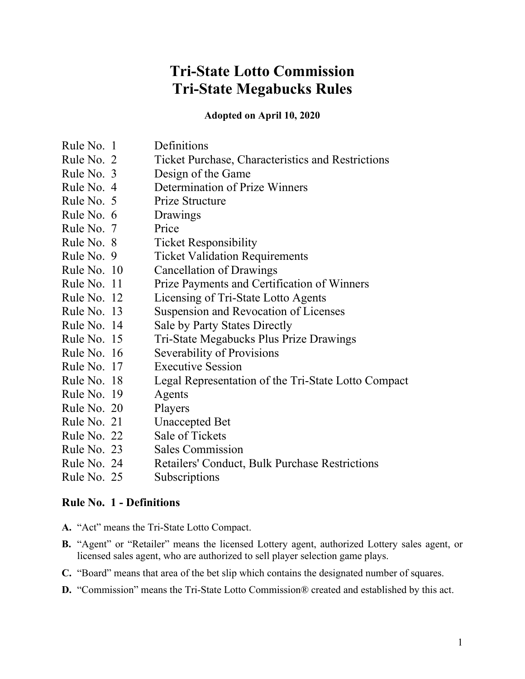# **Tri-State Lotto Commission Tri-State Megabucks Rules**

**Adopted on April 10, 2020**

| Rule No. 1  | Definitions                                              |
|-------------|----------------------------------------------------------|
| Rule No. 2  | <b>Ticket Purchase, Characteristics and Restrictions</b> |
| Rule No. 3  | Design of the Game                                       |
| Rule No. 4  | Determination of Prize Winners                           |
| Rule No. 5  | Prize Structure                                          |
| Rule No. 6  | Drawings                                                 |
| Rule No. 7  | Price                                                    |
| Rule No. 8  | <b>Ticket Responsibility</b>                             |
| Rule No. 9  | <b>Ticket Validation Requirements</b>                    |
| Rule No. 10 | Cancellation of Drawings                                 |
| Rule No. 11 | Prize Payments and Certification of Winners              |
| Rule No. 12 | Licensing of Tri-State Lotto Agents                      |
| Rule No. 13 | Suspension and Revocation of Licenses                    |
| Rule No. 14 | Sale by Party States Directly                            |
| Rule No. 15 | Tri-State Megabucks Plus Prize Drawings                  |
| Rule No. 16 | Severability of Provisions                               |
| Rule No. 17 | <b>Executive Session</b>                                 |
| Rule No. 18 | Legal Representation of the Tri-State Lotto Compact      |
| Rule No. 19 | Agents                                                   |
| Rule No. 20 | Players                                                  |
| Rule No. 21 | <b>Unaccepted Bet</b>                                    |
| Rule No. 22 | Sale of Tickets                                          |
| Rule No. 23 | <b>Sales Commission</b>                                  |
| Rule No. 24 | Retailers' Conduct, Bulk Purchase Restrictions           |
| Rule No. 25 | Subscriptions                                            |

## **Rule No. 1 - Definitions**

- **A.** "Act" means the Tri-State Lotto Compact.
- **B.** "Agent" or "Retailer" means the licensed Lottery agent, authorized Lottery sales agent, or licensed sales agent, who are authorized to sell player selection game plays.
- **C.** "Board" means that area of the bet slip which contains the designated number of squares.
- **D.** "Commission" means the Tri-State Lotto Commission® created and established by this act.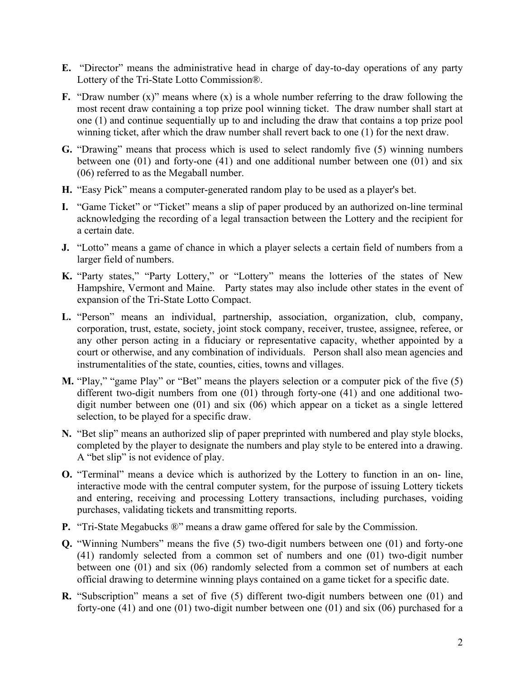- **E.** "Director" means the administrative head in charge of day-to-day operations of any party Lottery of the Tri-State Lotto Commission®.
- **F.** "Draw number (x)" means where (x) is a whole number referring to the draw following the most recent draw containing a top prize pool winning ticket. The draw number shall start at one (1) and continue sequentially up to and including the draw that contains a top prize pool winning ticket, after which the draw number shall revert back to one (1) for the next draw.
- **G.** "Drawing" means that process which is used to select randomly five (5) winning numbers between one (01) and forty-one (41) and one additional number between one (01) and six (06) referred to as the Megaball number.
- **H.** "Easy Pick" means a computer-generated random play to be used as a player's bet.
- **I.** "Game Ticket" or "Ticket" means a slip of paper produced by an authorized on-line terminal acknowledging the recording of a legal transaction between the Lottery and the recipient for a certain date.
- **J.** "Lotto" means a game of chance in which a player selects a certain field of numbers from a larger field of numbers.
- **K.** "Party states," "Party Lottery," or "Lottery" means the lotteries of the states of New Hampshire, Vermont and Maine. Party states may also include other states in the event of expansion of the Tri-State Lotto Compact.
- **L.** "Person" means an individual, partnership, association, organization, club, company, corporation, trust, estate, society, joint stock company, receiver, trustee, assignee, referee, or any other person acting in a fiduciary or representative capacity, whether appointed by a court or otherwise, and any combination of individuals. Person shall also mean agencies and instrumentalities of the state, counties, cities, towns and villages.
- **M.** "Play," "game Play" or "Bet" means the players selection or a computer pick of the five (5) different two-digit numbers from one (01) through forty-one (41) and one additional twodigit number between one (01) and six (06) which appear on a ticket as a single lettered selection, to be played for a specific draw.
- **N.** "Bet slip" means an authorized slip of paper preprinted with numbered and play style blocks, completed by the player to designate the numbers and play style to be entered into a drawing. A "bet slip" is not evidence of play.
- **O.** "Terminal" means a device which is authorized by the Lottery to function in an on- line, interactive mode with the central computer system, for the purpose of issuing Lottery tickets and entering, receiving and processing Lottery transactions, including purchases, voiding purchases, validating tickets and transmitting reports.
- **P.** "Tri-State Megabucks ®" means a draw game offered for sale by the Commission.
- **Q.** "Winning Numbers" means the five (5) two-digit numbers between one (01) and forty-one (41) randomly selected from a common set of numbers and one (01) two-digit number between one (01) and six (06) randomly selected from a common set of numbers at each official drawing to determine winning plays contained on a game ticket for a specific date.
- **R.** "Subscription" means a set of five (5) different two-digit numbers between one (01) and forty-one (41) and one (01) two-digit number between one (01) and six (06) purchased for a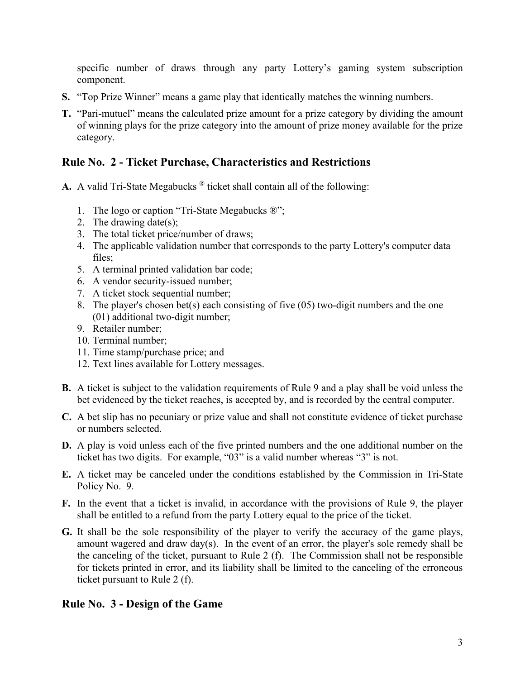specific number of draws through any party Lottery's gaming system subscription component.

- **S.** "Top Prize Winner" means a game play that identically matches the winning numbers.
- **T.** "Pari-mutuel" means the calculated prize amount for a prize category by dividing the amount of winning plays for the prize category into the amount of prize money available for the prize category.

## **Rule No. 2 - Ticket Purchase, Characteristics and Restrictions**

- **A.** A valid Tri-State Megabucks ® ticket shall contain all of the following:
	- 1. The logo or caption "Tri-State Megabucks ®";
	- 2. The drawing date(s);
	- 3. The total ticket price/number of draws;
	- 4. The applicable validation number that corresponds to the party Lottery's computer data files;
	- 5. A terminal printed validation bar code;
	- 6. A vendor security-issued number;
	- 7. A ticket stock sequential number;
	- 8. The player's chosen bet(s) each consisting of five (05) two-digit numbers and the one (01) additional two-digit number;
	- 9. Retailer number;
	- 10. Terminal number;
	- 11. Time stamp/purchase price; and
	- 12. Text lines available for Lottery messages.
- **B.** A ticket is subject to the validation requirements of Rule 9 and a play shall be void unless the bet evidenced by the ticket reaches, is accepted by, and is recorded by the central computer.
- **C.** A bet slip has no pecuniary or prize value and shall not constitute evidence of ticket purchase or numbers selected.
- **D.** A play is void unless each of the five printed numbers and the one additional number on the ticket has two digits. For example, "03" is a valid number whereas "3" is not.
- **E.** A ticket may be canceled under the conditions established by the Commission in Tri-State Policy No. 9.
- **F.** In the event that a ticket is invalid, in accordance with the provisions of Rule 9, the player shall be entitled to a refund from the party Lottery equal to the price of the ticket.
- **G.** It shall be the sole responsibility of the player to verify the accuracy of the game plays, amount wagered and draw day(s). In the event of an error, the player's sole remedy shall be the canceling of the ticket, pursuant to Rule 2 (f). The Commission shall not be responsible for tickets printed in error, and its liability shall be limited to the canceling of the erroneous ticket pursuant to Rule 2 (f).

## **Rule No. 3 - Design of the Game**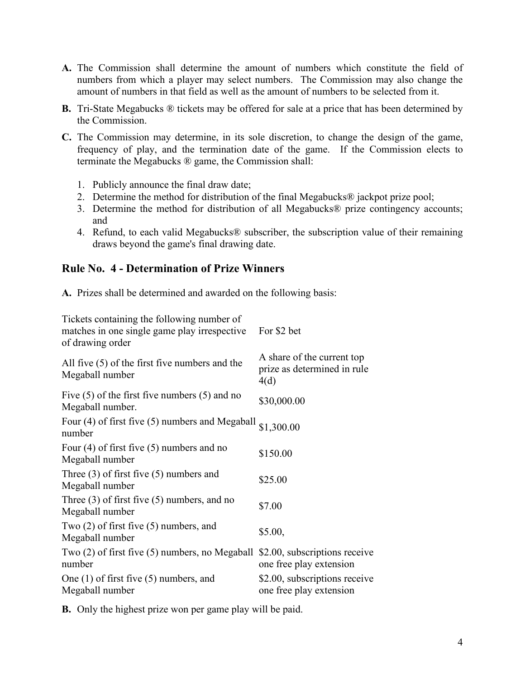- **A.** The Commission shall determine the amount of numbers which constitute the field of numbers from which a player may select numbers. The Commission may also change the amount of numbers in that field as well as the amount of numbers to be selected from it.
- **B.** Tri-State Megabucks ® tickets may be offered for sale at a price that has been determined by the Commission.
- **C.** The Commission may determine, in its sole discretion, to change the design of the game, frequency of play, and the termination date of the game. If the Commission elects to terminate the Megabucks ® game, the Commission shall:
	- 1. Publicly announce the final draw date;
	- 2. Determine the method for distribution of the final Megabucks® jackpot prize pool;
	- 3. Determine the method for distribution of all Megabucks® prize contingency accounts; and
	- 4. Refund, to each valid Megabucks® subscriber, the subscription value of their remaining draws beyond the game's final drawing date.

## **Rule No. 4 - Determination of Prize Winners**

**A.** Prizes shall be determined and awarded on the following basis:

| Tickets containing the following number of<br>matches in one single game play irrespective<br>of drawing order | For \$2 bet                                                       |
|----------------------------------------------------------------------------------------------------------------|-------------------------------------------------------------------|
| All five $(5)$ of the first five numbers and the<br>Megaball number                                            | A share of the current top<br>prize as determined in rule<br>4(d) |
| Five $(5)$ of the first five numbers $(5)$ and no<br>Megaball number.                                          | \$30,000.00                                                       |
| Four (4) of first five (5) numbers and Megaball $\frac{1}{1,300.00}$<br>number                                 |                                                                   |
| Four $(4)$ of first five $(5)$ numbers and no<br>Megaball number                                               | \$150.00                                                          |
| Three $(3)$ of first five $(5)$ numbers and<br>Megaball number                                                 | \$25.00                                                           |
| Three $(3)$ of first five $(5)$ numbers, and no<br>Megaball number                                             | \$7.00                                                            |
| Two $(2)$ of first five $(5)$ numbers, and<br>Megaball number                                                  | \$5.00,                                                           |
| Two $(2)$ of first five $(5)$ numbers, no Megaball<br>number                                                   | \$2.00, subscriptions receive<br>one free play extension          |
| One $(1)$ of first five $(5)$ numbers, and<br>Megaball number                                                  | \$2.00, subscriptions receive<br>one free play extension          |

**B.** Only the highest prize won per game play will be paid.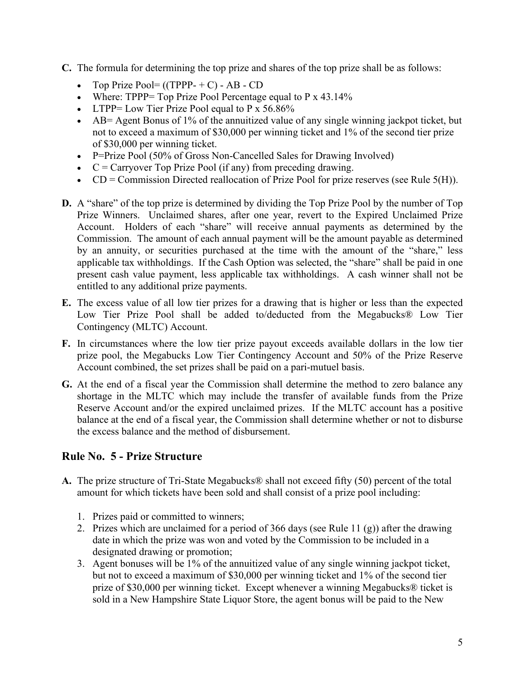- **C.** The formula for determining the top prize and shares of the top prize shall be as follows:
	- Top Prize Pool=  $((TPPP + C) AB CD)$
	- Where: TPPP= Top Prize Pool Percentage equal to P  $\times$  43.14%
	- LTPP= Low Tier Prize Pool equal to P  $\times$  56.86%
	- AB= Agent Bonus of 1% of the annuitized value of any single winning jackpot ticket, but not to exceed a maximum of \$30,000 per winning ticket and 1% of the second tier prize of \$30,000 per winning ticket.
	- P=Prize Pool (50% of Gross Non-Cancelled Sales for Drawing Involved)
	- $\bullet$   $C =$  Carryover Top Prize Pool (if any) from preceding drawing.
	- CD = Commission Directed reallocation of Prize Pool for prize reserves (see Rule  $5(H)$ ).
- **D.** A "share" of the top prize is determined by dividing the Top Prize Pool by the number of Top Prize Winners. Unclaimed shares, after one year, revert to the Expired Unclaimed Prize Account. Holders of each "share" will receive annual payments as determined by the Commission. The amount of each annual payment will be the amount payable as determined by an annuity, or securities purchased at the time with the amount of the "share," less applicable tax withholdings. If the Cash Option was selected, the "share" shall be paid in one present cash value payment, less applicable tax withholdings. A cash winner shall not be entitled to any additional prize payments.
- **E.** The excess value of all low tier prizes for a drawing that is higher or less than the expected Low Tier Prize Pool shall be added to/deducted from the Megabucks® Low Tier Contingency (MLTC) Account.
- **F.** In circumstances where the low tier prize payout exceeds available dollars in the low tier prize pool, the Megabucks Low Tier Contingency Account and 50% of the Prize Reserve Account combined, the set prizes shall be paid on a pari-mutuel basis.
- **G.** At the end of a fiscal year the Commission shall determine the method to zero balance any shortage in the MLTC which may include the transfer of available funds from the Prize Reserve Account and/or the expired unclaimed prizes. If the MLTC account has a positive balance at the end of a fiscal year, the Commission shall determine whether or not to disburse the excess balance and the method of disbursement.

# **Rule No. 5 - Prize Structure**

- **A.** The prize structure of Tri-State Megabucks® shall not exceed fifty (50) percent of the total amount for which tickets have been sold and shall consist of a prize pool including:
	- 1. Prizes paid or committed to winners;
	- 2. Prizes which are unclaimed for a period of 366 days (see Rule 11 (g)) after the drawing date in which the prize was won and voted by the Commission to be included in a designated drawing or promotion;
	- 3. Agent bonuses will be 1% of the annuitized value of any single winning jackpot ticket, but not to exceed a maximum of \$30,000 per winning ticket and 1% of the second tier prize of \$30,000 per winning ticket. Except whenever a winning Megabucks® ticket is sold in a New Hampshire State Liquor Store, the agent bonus will be paid to the New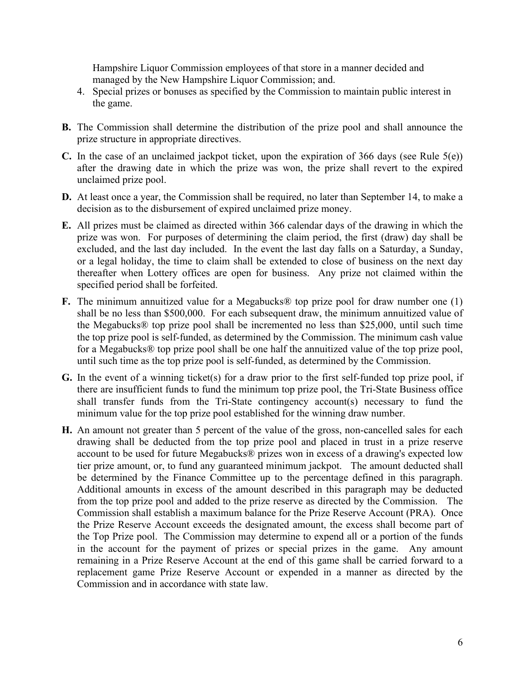Hampshire Liquor Commission employees of that store in a manner decided and managed by the New Hampshire Liquor Commission; and.

- 4. Special prizes or bonuses as specified by the Commission to maintain public interest in the game.
- **B.** The Commission shall determine the distribution of the prize pool and shall announce the prize structure in appropriate directives.
- **C.** In the case of an unclaimed jackpot ticket, upon the expiration of 366 days (see Rule 5(e)) after the drawing date in which the prize was won, the prize shall revert to the expired unclaimed prize pool.
- **D.** At least once a year, the Commission shall be required, no later than September 14, to make a decision as to the disbursement of expired unclaimed prize money.
- **E.** All prizes must be claimed as directed within 366 calendar days of the drawing in which the prize was won. For purposes of determining the claim period, the first (draw) day shall be excluded, and the last day included. In the event the last day falls on a Saturday, a Sunday, or a legal holiday, the time to claim shall be extended to close of business on the next day thereafter when Lottery offices are open for business. Any prize not claimed within the specified period shall be forfeited.
- **F.** The minimum annuitized value for a Megabucks® top prize pool for draw number one (1) shall be no less than \$500,000. For each subsequent draw, the minimum annuitized value of the Megabucks® top prize pool shall be incremented no less than \$25,000, until such time the top prize pool is self-funded, as determined by the Commission. The minimum cash value for a Megabucks® top prize pool shall be one half the annuitized value of the top prize pool, until such time as the top prize pool is self-funded, as determined by the Commission.
- **G.** In the event of a winning ticket(s) for a draw prior to the first self-funded top prize pool, if there are insufficient funds to fund the minimum top prize pool, the Tri-State Business office shall transfer funds from the Tri-State contingency account(s) necessary to fund the minimum value for the top prize pool established for the winning draw number.
- **H.** An amount not greater than 5 percent of the value of the gross, non-cancelled sales for each drawing shall be deducted from the top prize pool and placed in trust in a prize reserve account to be used for future Megabucks® prizes won in excess of a drawing's expected low tier prize amount, or, to fund any guaranteed minimum jackpot. The amount deducted shall be determined by the Finance Committee up to the percentage defined in this paragraph. Additional amounts in excess of the amount described in this paragraph may be deducted from the top prize pool and added to the prize reserve as directed by the Commission. The Commission shall establish a maximum balance for the Prize Reserve Account (PRA). Once the Prize Reserve Account exceeds the designated amount, the excess shall become part of the Top Prize pool. The Commission may determine to expend all or a portion of the funds in the account for the payment of prizes or special prizes in the game. Any amount remaining in a Prize Reserve Account at the end of this game shall be carried forward to a replacement game Prize Reserve Account or expended in a manner as directed by the Commission and in accordance with state law.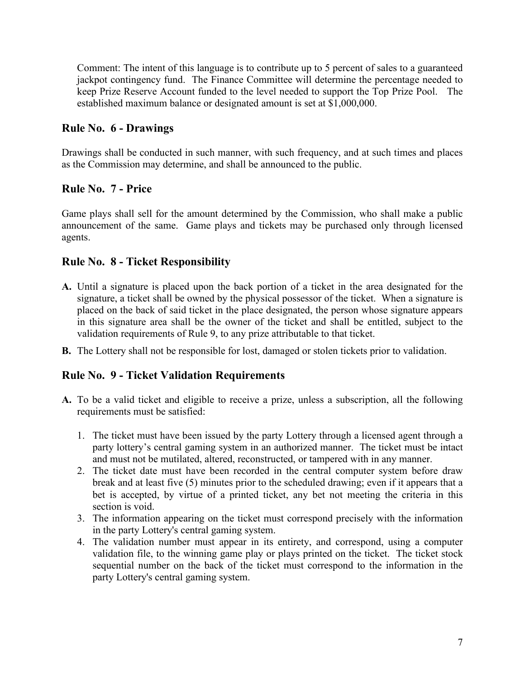Comment: The intent of this language is to contribute up to 5 percent of sales to a guaranteed jackpot contingency fund. The Finance Committee will determine the percentage needed to keep Prize Reserve Account funded to the level needed to support the Top Prize Pool. The established maximum balance or designated amount is set at \$1,000,000.

## **Rule No. 6 - Drawings**

Drawings shall be conducted in such manner, with such frequency, and at such times and places as the Commission may determine, and shall be announced to the public.

#### **Rule No. 7 - Price**

Game plays shall sell for the amount determined by the Commission, who shall make a public announcement of the same. Game plays and tickets may be purchased only through licensed agents.

#### **Rule No. 8 - Ticket Responsibility**

- **A.** Until a signature is placed upon the back portion of a ticket in the area designated for the signature, a ticket shall be owned by the physical possessor of the ticket. When a signature is placed on the back of said ticket in the place designated, the person whose signature appears in this signature area shall be the owner of the ticket and shall be entitled, subject to the validation requirements of Rule 9, to any prize attributable to that ticket.
- **B.** The Lottery shall not be responsible for lost, damaged or stolen tickets prior to validation.

## **Rule No. 9 - Ticket Validation Requirements**

- **A.** To be a valid ticket and eligible to receive a prize, unless a subscription, all the following requirements must be satisfied:
	- 1. The ticket must have been issued by the party Lottery through a licensed agent through a party lottery's central gaming system in an authorized manner. The ticket must be intact and must not be mutilated, altered, reconstructed, or tampered with in any manner.
	- 2. The ticket date must have been recorded in the central computer system before draw break and at least five (5) minutes prior to the scheduled drawing; even if it appears that a bet is accepted, by virtue of a printed ticket, any bet not meeting the criteria in this section is void.
	- 3. The information appearing on the ticket must correspond precisely with the information in the party Lottery's central gaming system.
	- 4. The validation number must appear in its entirety, and correspond, using a computer validation file, to the winning game play or plays printed on the ticket. The ticket stock sequential number on the back of the ticket must correspond to the information in the party Lottery's central gaming system.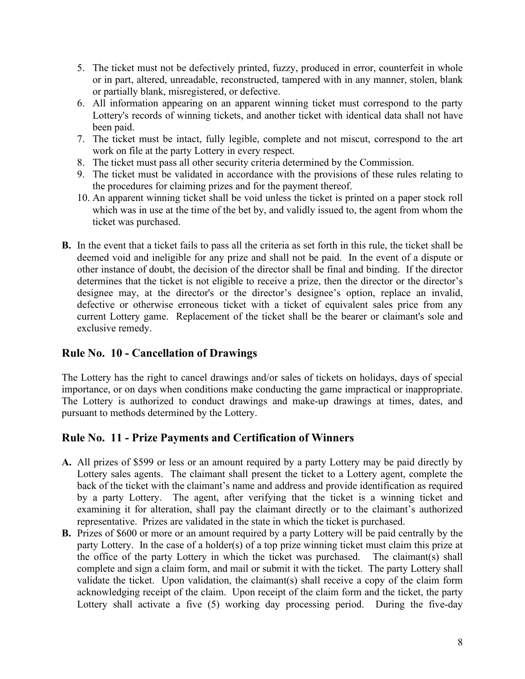- 5. The ticket must not be defectively printed, fuzzy, produced in error, counterfeit in whole or in part, altered, unreadable, reconstructed, tampered with in any manner, stolen, blank or partially blank, misregistered, or defective.
- 6. All information appearing on an apparent winning ticket must correspond to the party Lottery's records of winning tickets, and another ticket with identical data shall not have been paid.
- 7. The ticket must be intact, fully legible, complete and not miscut, correspond to the art work on file at the party Lottery in every respect.
- 8. The ticket must pass all other security criteria determined by the Commission.
- 9. The ticket must be validated in accordance with the provisions of these rules relating to the procedures for claiming prizes and for the payment thereof.
- 10. An apparent winning ticket shall be void unless the ticket is printed on a paper stock roll which was in use at the time of the bet by, and validly issued to, the agent from whom the ticket was purchased.
- **B.** In the event that a ticket fails to pass all the criteria as set forth in this rule, the ticket shall be deemed void and ineligible for any prize and shall not be paid. In the event of a dispute or other instance of doubt, the decision of the director shall be final and binding. If the director determines that the ticket is not eligible to receive a prize, then the director or the director's designee may, at the director's or the director's designee's option, replace an invalid, defective or otherwise erroneous ticket with a ticket of equivalent sales price from any current Lottery game. Replacement of the ticket shall be the bearer or claimant's sole and exclusive remedy.

## **Rule No. 10 - Cancellation of Drawings**

The Lottery has the right to cancel drawings and/or sales of tickets on holidays, days of special importance, or on days when conditions make conducting the game impractical or inappropriate. The Lottery is authorized to conduct drawings and make-up drawings at times, dates, and pursuant to methods determined by the Lottery.

## **Rule No. 11 - Prize Payments and Certification of Winners**

- **A.** All prizes of \$599 or less or an amount required by a party Lottery may be paid directly by Lottery sales agents. The claimant shall present the ticket to a Lottery agent, complete the back of the ticket with the claimant's name and address and provide identification as required by a party Lottery. The agent, after verifying that the ticket is a winning ticket and examining it for alteration, shall pay the claimant directly or to the claimant's authorized representative. Prizes are validated in the state in which the ticket is purchased.
- **B.** Prizes of \$600 or more or an amount required by a party Lottery will be paid centrally by the party Lottery. In the case of a holder(s) of a top prize winning ticket must claim this prize at the office of the party Lottery in which the ticket was purchased. The claimant(s) shall complete and sign a claim form, and mail or submit it with the ticket. The party Lottery shall validate the ticket. Upon validation, the claimant(s) shall receive a copy of the claim form acknowledging receipt of the claim. Upon receipt of the claim form and the ticket, the party Lottery shall activate a five (5) working day processing period. During the five-day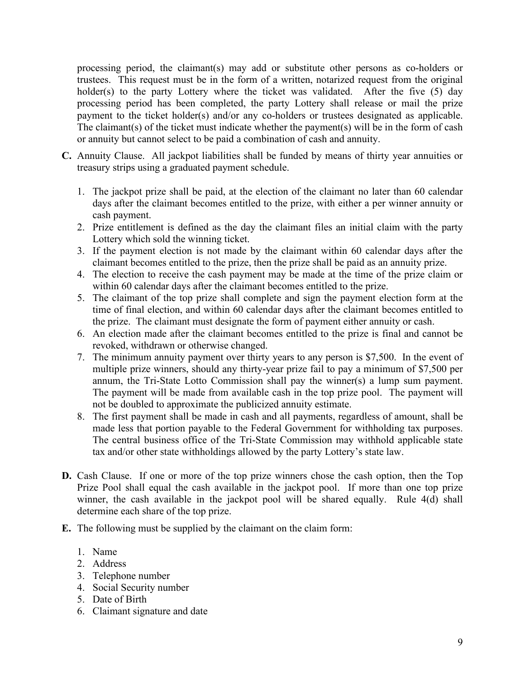processing period, the claimant(s) may add or substitute other persons as co-holders or trustees. This request must be in the form of a written, notarized request from the original holder(s) to the party Lottery where the ticket was validated. After the five (5) day processing period has been completed, the party Lottery shall release or mail the prize payment to the ticket holder(s) and/or any co-holders or trustees designated as applicable. The claimant(s) of the ticket must indicate whether the payment(s) will be in the form of cash or annuity but cannot select to be paid a combination of cash and annuity.

- **C.** Annuity Clause. All jackpot liabilities shall be funded by means of thirty year annuities or treasury strips using a graduated payment schedule.
	- 1. The jackpot prize shall be paid, at the election of the claimant no later than 60 calendar days after the claimant becomes entitled to the prize, with either a per winner annuity or cash payment.
	- 2. Prize entitlement is defined as the day the claimant files an initial claim with the party Lottery which sold the winning ticket.
	- 3. If the payment election is not made by the claimant within 60 calendar days after the claimant becomes entitled to the prize, then the prize shall be paid as an annuity prize.
	- 4. The election to receive the cash payment may be made at the time of the prize claim or within 60 calendar days after the claimant becomes entitled to the prize.
	- 5. The claimant of the top prize shall complete and sign the payment election form at the time of final election, and within 60 calendar days after the claimant becomes entitled to the prize. The claimant must designate the form of payment either annuity or cash.
	- 6. An election made after the claimant becomes entitled to the prize is final and cannot be revoked, withdrawn or otherwise changed.
	- 7. The minimum annuity payment over thirty years to any person is \$7,500. In the event of multiple prize winners, should any thirty-year prize fail to pay a minimum of \$7,500 per annum, the Tri-State Lotto Commission shall pay the winner(s) a lump sum payment. The payment will be made from available cash in the top prize pool. The payment will not be doubled to approximate the publicized annuity estimate.
	- 8. The first payment shall be made in cash and all payments, regardless of amount, shall be made less that portion payable to the Federal Government for withholding tax purposes. The central business office of the Tri-State Commission may withhold applicable state tax and/or other state withholdings allowed by the party Lottery's state law.
- **D.** Cash Clause. If one or more of the top prize winners chose the cash option, then the Top Prize Pool shall equal the cash available in the jackpot pool. If more than one top prize winner, the cash available in the jackpot pool will be shared equally. Rule 4(d) shall determine each share of the top prize.
- **E.** The following must be supplied by the claimant on the claim form:
	- 1. Name
	- 2. Address
	- 3. Telephone number
	- 4. Social Security number
	- 5. Date of Birth
	- 6. Claimant signature and date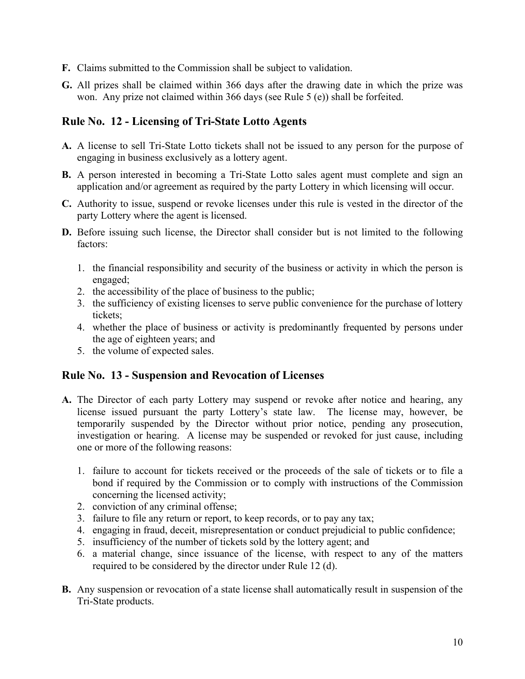- **F.** Claims submitted to the Commission shall be subject to validation.
- **G.** All prizes shall be claimed within 366 days after the drawing date in which the prize was won. Any prize not claimed within 366 days (see Rule 5 (e)) shall be forfeited.

## **Rule No. 12 - Licensing of Tri-State Lotto Agents**

- **A.** A license to sell Tri-State Lotto tickets shall not be issued to any person for the purpose of engaging in business exclusively as a lottery agent.
- **B.** A person interested in becoming a Tri-State Lotto sales agent must complete and sign an application and/or agreement as required by the party Lottery in which licensing will occur.
- **C.** Authority to issue, suspend or revoke licenses under this rule is vested in the director of the party Lottery where the agent is licensed.
- **D.** Before issuing such license, the Director shall consider but is not limited to the following factors:
	- 1. the financial responsibility and security of the business or activity in which the person is engaged;
	- 2. the accessibility of the place of business to the public;
	- 3. the sufficiency of existing licenses to serve public convenience for the purchase of lottery tickets;
	- 4. whether the place of business or activity is predominantly frequented by persons under the age of eighteen years; and
	- 5. the volume of expected sales.

#### **Rule No. 13 - Suspension and Revocation of Licenses**

- **A.** The Director of each party Lottery may suspend or revoke after notice and hearing, any license issued pursuant the party Lottery's state law. The license may, however, be temporarily suspended by the Director without prior notice, pending any prosecution, investigation or hearing. A license may be suspended or revoked for just cause, including one or more of the following reasons:
	- 1. failure to account for tickets received or the proceeds of the sale of tickets or to file a bond if required by the Commission or to comply with instructions of the Commission concerning the licensed activity;
	- 2. conviction of any criminal offense;
	- 3. failure to file any return or report, to keep records, or to pay any tax;
	- 4. engaging in fraud, deceit, misrepresentation or conduct prejudicial to public confidence;
	- 5. insufficiency of the number of tickets sold by the lottery agent; and
	- 6. a material change, since issuance of the license, with respect to any of the matters required to be considered by the director under Rule 12 (d).
- **B.** Any suspension or revocation of a state license shall automatically result in suspension of the Tri-State products.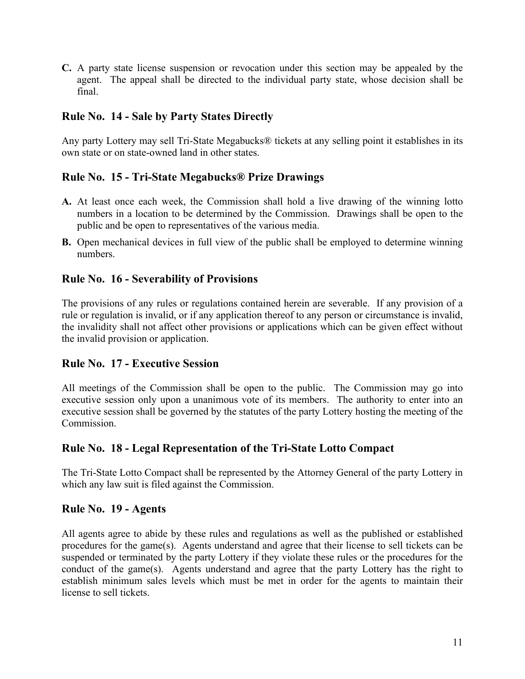**C.** A party state license suspension or revocation under this section may be appealed by the agent. The appeal shall be directed to the individual party state, whose decision shall be final.

## **Rule No. 14 - Sale by Party States Directly**

Any party Lottery may sell Tri-State Megabucks® tickets at any selling point it establishes in its own state or on state-owned land in other states.

## **Rule No. 15 - Tri-State Megabucks® Prize Drawings**

- **A.** At least once each week, the Commission shall hold a live drawing of the winning lotto numbers in a location to be determined by the Commission. Drawings shall be open to the public and be open to representatives of the various media.
- **B.** Open mechanical devices in full view of the public shall be employed to determine winning numbers.

## **Rule No. 16 - Severability of Provisions**

The provisions of any rules or regulations contained herein are severable. If any provision of a rule or regulation is invalid, or if any application thereof to any person or circumstance is invalid, the invalidity shall not affect other provisions or applications which can be given effect without the invalid provision or application.

#### **Rule No. 17 - Executive Session**

All meetings of the Commission shall be open to the public. The Commission may go into executive session only upon a unanimous vote of its members. The authority to enter into an executive session shall be governed by the statutes of the party Lottery hosting the meeting of the Commission.

## **Rule No. 18 - Legal Representation of the Tri-State Lotto Compact**

The Tri-State Lotto Compact shall be represented by the Attorney General of the party Lottery in which any law suit is filed against the Commission.

#### **Rule No. 19 - Agents**

All agents agree to abide by these rules and regulations as well as the published or established procedures for the game(s). Agents understand and agree that their license to sell tickets can be suspended or terminated by the party Lottery if they violate these rules or the procedures for the conduct of the game(s). Agents understand and agree that the party Lottery has the right to establish minimum sales levels which must be met in order for the agents to maintain their license to sell tickets.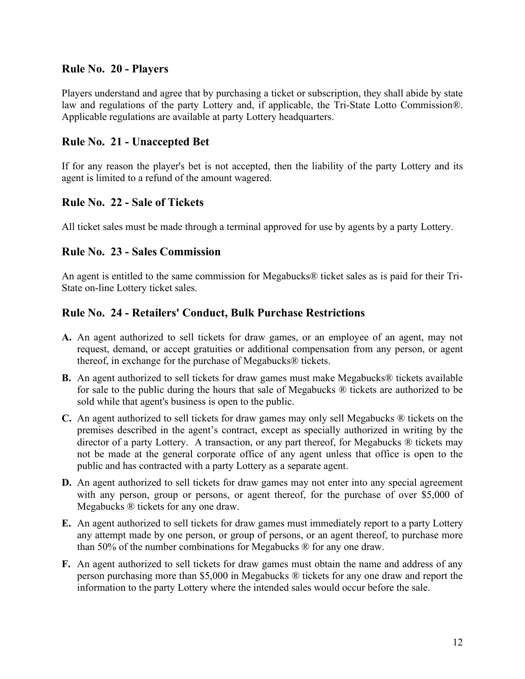## **Rule No. 20 - Players**

Players understand and agree that by purchasing a ticket or subscription, they shall abide by state law and regulations of the party Lottery and, if applicable, the Tri-State Lotto Commission®. Applicable regulations are available at party Lottery headquarters.

#### **Rule No. 21 - Unaccepted Bet**

If for any reason the player's bet is not accepted, then the liability of the party Lottery and its agent is limited to a refund of the amount wagered.

#### **Rule No. 22 - Sale of Tickets**

All ticket sales must be made through a terminal approved for use by agents by a party Lottery.

#### **Rule No. 23 - Sales Commission**

An agent is entitled to the same commission for Megabucks® ticket sales as is paid for their Tri-State on-line Lottery ticket sales.

## **Rule No. 24 - Retailers' Conduct, Bulk Purchase Restrictions**

- **A.** An agent authorized to sell tickets for draw games, or an employee of an agent, may not request, demand, or accept gratuities or additional compensation from any person, or agent thereof, in exchange for the purchase of Megabucks® tickets.
- **B.** An agent authorized to sell tickets for draw games must make Megabucks® tickets available for sale to the public during the hours that sale of Megabucks ® tickets are authorized to be sold while that agent's business is open to the public.
- **C.** An agent authorized to sell tickets for draw games may only sell Megabucks ® tickets on the premises described in the agent's contract, except as specially authorized in writing by the director of a party Lottery. A transaction, or any part thereof, for Megabucks ® tickets may not be made at the general corporate office of any agent unless that office is open to the public and has contracted with a party Lottery as a separate agent.
- **D.** An agent authorized to sell tickets for draw games may not enter into any special agreement with any person, group or persons, or agent thereof, for the purchase of over \$5,000 of Megabucks ® tickets for any one draw.
- **E.** An agent authorized to sell tickets for draw games must immediately report to a party Lottery any attempt made by one person, or group of persons, or an agent thereof, to purchase more than 50% of the number combinations for Megabucks ® for any one draw.
- **F.** An agent authorized to sell tickets for draw games must obtain the name and address of any person purchasing more than \$5,000 in Megabucks ® tickets for any one draw and report the information to the party Lottery where the intended sales would occur before the sale.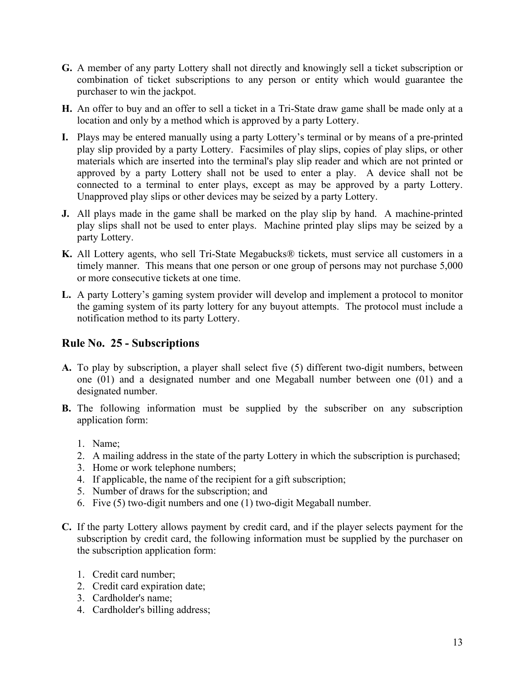- **G.** A member of any party Lottery shall not directly and knowingly sell a ticket subscription or combination of ticket subscriptions to any person or entity which would guarantee the purchaser to win the jackpot.
- **H.** An offer to buy and an offer to sell a ticket in a Tri-State draw game shall be made only at a location and only by a method which is approved by a party Lottery.
- **I.** Plays may be entered manually using a party Lottery's terminal or by means of a pre-printed play slip provided by a party Lottery. Facsimiles of play slips, copies of play slips, or other materials which are inserted into the terminal's play slip reader and which are not printed or approved by a party Lottery shall not be used to enter a play. A device shall not be connected to a terminal to enter plays, except as may be approved by a party Lottery. Unapproved play slips or other devices may be seized by a party Lottery.
- **J.** All plays made in the game shall be marked on the play slip by hand. A machine-printed play slips shall not be used to enter plays. Machine printed play slips may be seized by a party Lottery.
- **K.** All Lottery agents, who sell Tri-State Megabucks® tickets, must service all customers in a timely manner. This means that one person or one group of persons may not purchase 5,000 or more consecutive tickets at one time.
- **L.** A party Lottery's gaming system provider will develop and implement a protocol to monitor the gaming system of its party lottery for any buyout attempts. The protocol must include a notification method to its party Lottery.

# **Rule No. 25 - Subscriptions**

- **A.** To play by subscription, a player shall select five (5) different two-digit numbers, between one (01) and a designated number and one Megaball number between one (01) and a designated number.
- **B.** The following information must be supplied by the subscriber on any subscription application form:
	- 1. Name;
	- 2. A mailing address in the state of the party Lottery in which the subscription is purchased;
	- 3. Home or work telephone numbers;
	- 4. If applicable, the name of the recipient for a gift subscription;
	- 5. Number of draws for the subscription; and
	- 6. Five (5) two-digit numbers and one (1) two-digit Megaball number.
- **C.** If the party Lottery allows payment by credit card, and if the player selects payment for the subscription by credit card, the following information must be supplied by the purchaser on the subscription application form:
	- 1. Credit card number;
	- 2. Credit card expiration date;
	- 3. Cardholder's name;
	- 4. Cardholder's billing address;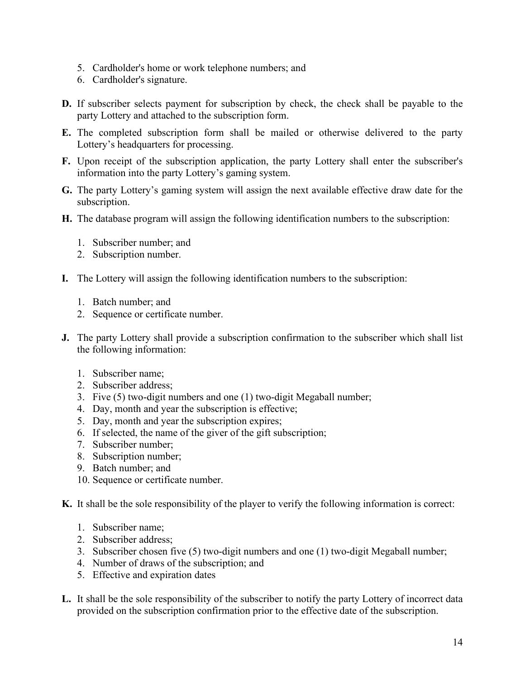- 5. Cardholder's home or work telephone numbers; and
- 6. Cardholder's signature.
- **D.** If subscriber selects payment for subscription by check, the check shall be payable to the party Lottery and attached to the subscription form.
- **E.** The completed subscription form shall be mailed or otherwise delivered to the party Lottery's headquarters for processing.
- **F.** Upon receipt of the subscription application, the party Lottery shall enter the subscriber's information into the party Lottery's gaming system.
- **G.** The party Lottery's gaming system will assign the next available effective draw date for the subscription.
- **H.** The database program will assign the following identification numbers to the subscription:
	- 1. Subscriber number; and
	- 2. Subscription number.
- **I.** The Lottery will assign the following identification numbers to the subscription:
	- 1. Batch number; and
	- 2. Sequence or certificate number.
- **J.** The party Lottery shall provide a subscription confirmation to the subscriber which shall list the following information:
	- 1. Subscriber name;
	- 2. Subscriber address;
	- 3. Five (5) two-digit numbers and one (1) two-digit Megaball number;
	- 4. Day, month and year the subscription is effective;
	- 5. Day, month and year the subscription expires;
	- 6. If selected, the name of the giver of the gift subscription;
	- 7. Subscriber number;
	- 8. Subscription number;
	- 9. Batch number; and
	- 10. Sequence or certificate number.
- **K.** It shall be the sole responsibility of the player to verify the following information is correct:
	- 1. Subscriber name;
	- 2. Subscriber address;
	- 3. Subscriber chosen five (5) two-digit numbers and one (1) two-digit Megaball number;
	- 4. Number of draws of the subscription; and
	- 5. Effective and expiration dates
- **L.** It shall be the sole responsibility of the subscriber to notify the party Lottery of incorrect data provided on the subscription confirmation prior to the effective date of the subscription.